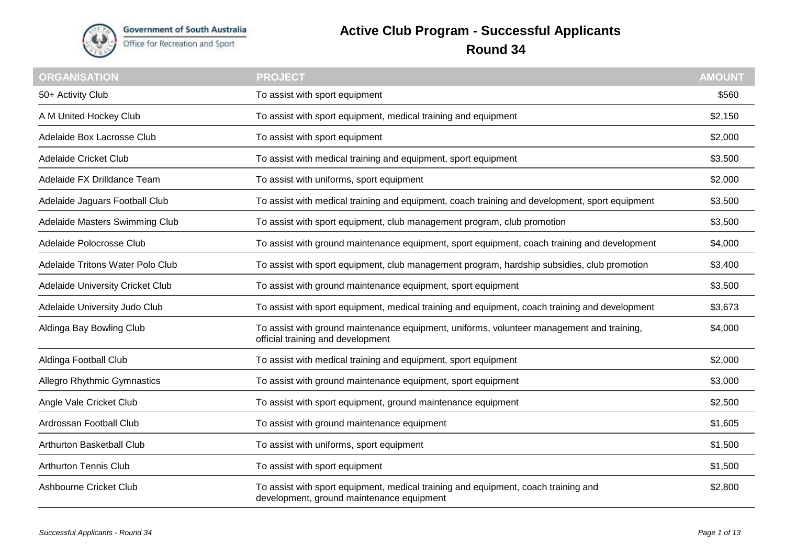

## **Active Club Program - Successful Applicants Round 34**

| <b>ORGANISATION</b>              | <b>PROJECT</b>                                                                                                                  | <b>AMOUNT</b> |
|----------------------------------|---------------------------------------------------------------------------------------------------------------------------------|---------------|
| 50+ Activity Club                | To assist with sport equipment                                                                                                  | \$560         |
| A M United Hockey Club           | To assist with sport equipment, medical training and equipment                                                                  | \$2,150       |
| Adelaide Box Lacrosse Club       | To assist with sport equipment                                                                                                  | \$2,000       |
| Adelaide Cricket Club            | To assist with medical training and equipment, sport equipment                                                                  | \$3,500       |
| Adelaide FX Drilldance Team      | To assist with uniforms, sport equipment                                                                                        | \$2,000       |
| Adelaide Jaguars Football Club   | To assist with medical training and equipment, coach training and development, sport equipment                                  | \$3,500       |
| Adelaide Masters Swimming Club   | To assist with sport equipment, club management program, club promotion                                                         | \$3,500       |
| Adelaide Polocrosse Club         | To assist with ground maintenance equipment, sport equipment, coach training and development                                    | \$4,000       |
| Adelaide Tritons Water Polo Club | To assist with sport equipment, club management program, hardship subsidies, club promotion                                     | \$3,400       |
| Adelaide University Cricket Club | To assist with ground maintenance equipment, sport equipment                                                                    | \$3,500       |
| Adelaide University Judo Club    | To assist with sport equipment, medical training and equipment, coach training and development                                  | \$3,673       |
| Aldinga Bay Bowling Club         | To assist with ground maintenance equipment, uniforms, volunteer management and training,<br>official training and development  | \$4,000       |
| Aldinga Football Club            | To assist with medical training and equipment, sport equipment                                                                  | \$2,000       |
| Allegro Rhythmic Gymnastics      | To assist with ground maintenance equipment, sport equipment                                                                    | \$3,000       |
| Angle Vale Cricket Club          | To assist with sport equipment, ground maintenance equipment                                                                    | \$2,500       |
| Ardrossan Football Club          | To assist with ground maintenance equipment                                                                                     | \$1,605       |
| Arthurton Basketball Club        | To assist with uniforms, sport equipment                                                                                        | \$1,500       |
| <b>Arthurton Tennis Club</b>     | To assist with sport equipment                                                                                                  | \$1,500       |
| Ashbourne Cricket Club           | To assist with sport equipment, medical training and equipment, coach training and<br>development, ground maintenance equipment | \$2,800       |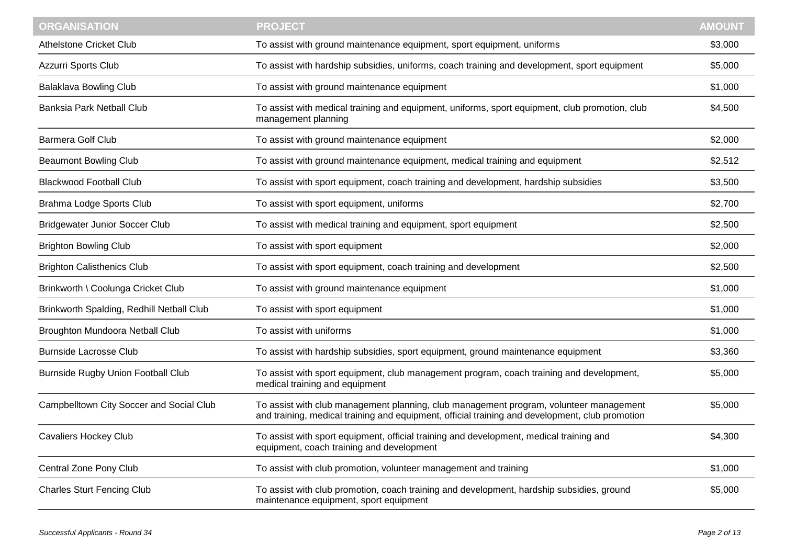| <b>ORGANISATION</b>                       | <b>PROJECT</b>                                                                                                                                                                            | <b>AMOUNT</b> |
|-------------------------------------------|-------------------------------------------------------------------------------------------------------------------------------------------------------------------------------------------|---------------|
| <b>Athelstone Cricket Club</b>            | To assist with ground maintenance equipment, sport equipment, uniforms                                                                                                                    | \$3,000       |
| Azzurri Sports Club                       | To assist with hardship subsidies, uniforms, coach training and development, sport equipment                                                                                              | \$5,000       |
| <b>Balaklava Bowling Club</b>             | To assist with ground maintenance equipment                                                                                                                                               | \$1,000       |
| Banksia Park Netball Club                 | To assist with medical training and equipment, uniforms, sport equipment, club promotion, club<br>management planning                                                                     | \$4,500       |
| <b>Barmera Golf Club</b>                  | To assist with ground maintenance equipment                                                                                                                                               | \$2,000       |
| <b>Beaumont Bowling Club</b>              | To assist with ground maintenance equipment, medical training and equipment                                                                                                               | \$2,512       |
| <b>Blackwood Football Club</b>            | To assist with sport equipment, coach training and development, hardship subsidies                                                                                                        | \$3,500       |
| Brahma Lodge Sports Club                  | To assist with sport equipment, uniforms                                                                                                                                                  | \$2,700       |
| <b>Bridgewater Junior Soccer Club</b>     | To assist with medical training and equipment, sport equipment                                                                                                                            | \$2,500       |
| <b>Brighton Bowling Club</b>              | To assist with sport equipment                                                                                                                                                            | \$2,000       |
| <b>Brighton Calisthenics Club</b>         | To assist with sport equipment, coach training and development                                                                                                                            | \$2,500       |
| Brinkworth \ Coolunga Cricket Club        | To assist with ground maintenance equipment                                                                                                                                               | \$1,000       |
| Brinkworth Spalding, Redhill Netball Club | To assist with sport equipment                                                                                                                                                            | \$1,000       |
| Broughton Mundoora Netball Club           | To assist with uniforms                                                                                                                                                                   | \$1,000       |
| <b>Burnside Lacrosse Club</b>             | To assist with hardship subsidies, sport equipment, ground maintenance equipment                                                                                                          | \$3,360       |
| <b>Burnside Rugby Union Football Club</b> | To assist with sport equipment, club management program, coach training and development,<br>medical training and equipment                                                                | \$5,000       |
| Campbelltown City Soccer and Social Club  | To assist with club management planning, club management program, volunteer management<br>and training, medical training and equipment, official training and development, club promotion | \$5,000       |
| <b>Cavaliers Hockey Club</b>              | To assist with sport equipment, official training and development, medical training and<br>equipment, coach training and development                                                      | \$4,300       |
| Central Zone Pony Club                    | To assist with club promotion, volunteer management and training                                                                                                                          | \$1,000       |
| <b>Charles Sturt Fencing Club</b>         | To assist with club promotion, coach training and development, hardship subsidies, ground<br>maintenance equipment, sport equipment                                                       | \$5,000       |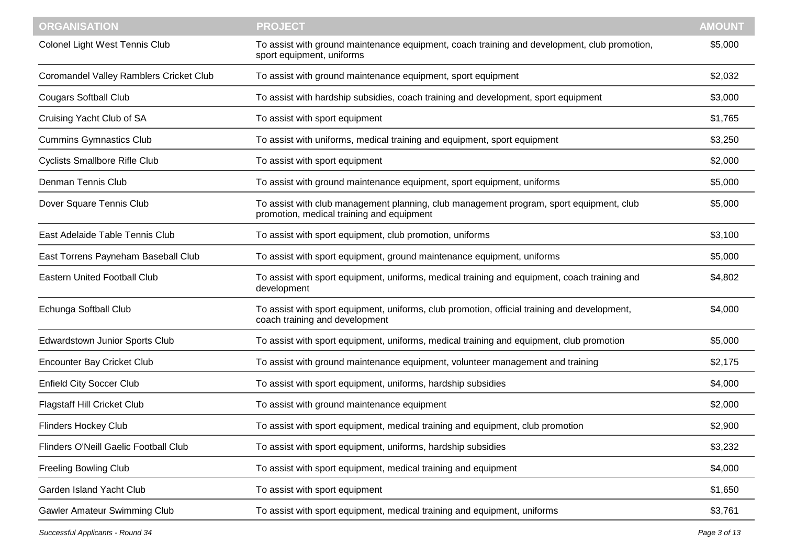| <b>ORGANISATION</b>                     | <b>PROJECT</b>                                                                                                                       | <b>AMOUNT</b> |
|-----------------------------------------|--------------------------------------------------------------------------------------------------------------------------------------|---------------|
| Colonel Light West Tennis Club          | To assist with ground maintenance equipment, coach training and development, club promotion,<br>sport equipment, uniforms            | \$5,000       |
| Coromandel Valley Ramblers Cricket Club | To assist with ground maintenance equipment, sport equipment                                                                         | \$2,032       |
| <b>Cougars Softball Club</b>            | To assist with hardship subsidies, coach training and development, sport equipment                                                   | \$3,000       |
| Cruising Yacht Club of SA               | To assist with sport equipment                                                                                                       | \$1,765       |
| <b>Cummins Gymnastics Club</b>          | To assist with uniforms, medical training and equipment, sport equipment                                                             | \$3,250       |
| <b>Cyclists Smallbore Rifle Club</b>    | To assist with sport equipment                                                                                                       | \$2,000       |
| Denman Tennis Club                      | To assist with ground maintenance equipment, sport equipment, uniforms                                                               | \$5,000       |
| Dover Square Tennis Club                | To assist with club management planning, club management program, sport equipment, club<br>promotion, medical training and equipment | \$5,000       |
| East Adelaide Table Tennis Club         | To assist with sport equipment, club promotion, uniforms                                                                             | \$3,100       |
| East Torrens Payneham Baseball Club     | To assist with sport equipment, ground maintenance equipment, uniforms                                                               | \$5,000       |
| <b>Eastern United Football Club</b>     | To assist with sport equipment, uniforms, medical training and equipment, coach training and<br>development                          | \$4,802       |
| Echunga Softball Club                   | To assist with sport equipment, uniforms, club promotion, official training and development,<br>coach training and development       | \$4,000       |
| Edwardstown Junior Sports Club          | To assist with sport equipment, uniforms, medical training and equipment, club promotion                                             | \$5,000       |
| <b>Encounter Bay Cricket Club</b>       | To assist with ground maintenance equipment, volunteer management and training                                                       | \$2,175       |
| <b>Enfield City Soccer Club</b>         | To assist with sport equipment, uniforms, hardship subsidies                                                                         | \$4,000       |
| <b>Flagstaff Hill Cricket Club</b>      | To assist with ground maintenance equipment                                                                                          | \$2,000       |
| <b>Flinders Hockey Club</b>             | To assist with sport equipment, medical training and equipment, club promotion                                                       | \$2,900       |
| Flinders O'Neill Gaelic Football Club   | To assist with sport equipment, uniforms, hardship subsidies                                                                         | \$3,232       |
| <b>Freeling Bowling Club</b>            | To assist with sport equipment, medical training and equipment                                                                       | \$4,000       |
| Garden Island Yacht Club                | To assist with sport equipment                                                                                                       | \$1,650       |
| <b>Gawler Amateur Swimming Club</b>     | To assist with sport equipment, medical training and equipment, uniforms                                                             | \$3,761       |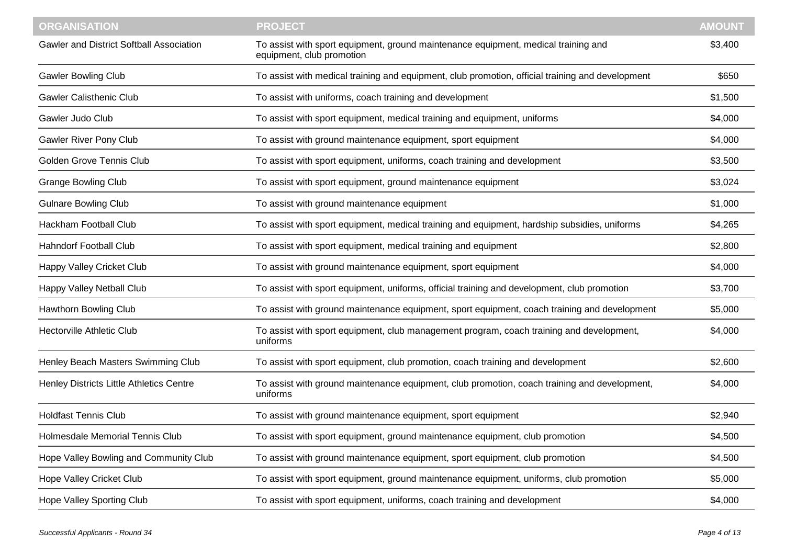| <b>ORGANISATION</b>                             | <b>PROJECT</b>                                                                                                  | <b>AMOUNT</b> |
|-------------------------------------------------|-----------------------------------------------------------------------------------------------------------------|---------------|
| <b>Gawler and District Softball Association</b> | To assist with sport equipment, ground maintenance equipment, medical training and<br>equipment, club promotion | \$3,400       |
| <b>Gawler Bowling Club</b>                      | To assist with medical training and equipment, club promotion, official training and development                | \$650         |
| <b>Gawler Calisthenic Club</b>                  | To assist with uniforms, coach training and development                                                         | \$1,500       |
| Gawler Judo Club                                | To assist with sport equipment, medical training and equipment, uniforms                                        | \$4,000       |
| Gawler River Pony Club                          | To assist with ground maintenance equipment, sport equipment                                                    | \$4,000       |
| <b>Golden Grove Tennis Club</b>                 | To assist with sport equipment, uniforms, coach training and development                                        | \$3,500       |
| <b>Grange Bowling Club</b>                      | To assist with sport equipment, ground maintenance equipment                                                    | \$3,024       |
| <b>Gulnare Bowling Club</b>                     | To assist with ground maintenance equipment                                                                     | \$1,000       |
| Hackham Football Club                           | To assist with sport equipment, medical training and equipment, hardship subsidies, uniforms                    | \$4,265       |
| <b>Hahndorf Football Club</b>                   | To assist with sport equipment, medical training and equipment                                                  | \$2,800       |
| Happy Valley Cricket Club                       | To assist with ground maintenance equipment, sport equipment                                                    | \$4,000       |
| Happy Valley Netball Club                       | To assist with sport equipment, uniforms, official training and development, club promotion                     | \$3,700       |
| Hawthorn Bowling Club                           | To assist with ground maintenance equipment, sport equipment, coach training and development                    | \$5,000       |
| <b>Hectorville Athletic Club</b>                | To assist with sport equipment, club management program, coach training and development,<br>uniforms            | \$4,000       |
| Henley Beach Masters Swimming Club              | To assist with sport equipment, club promotion, coach training and development                                  | \$2,600       |
| Henley Districts Little Athletics Centre        | To assist with ground maintenance equipment, club promotion, coach training and development,<br>uniforms        | \$4,000       |
| <b>Holdfast Tennis Club</b>                     | To assist with ground maintenance equipment, sport equipment                                                    | \$2,940       |
| Holmesdale Memorial Tennis Club                 | To assist with sport equipment, ground maintenance equipment, club promotion                                    | \$4,500       |
| Hope Valley Bowling and Community Club          | To assist with ground maintenance equipment, sport equipment, club promotion                                    | \$4,500       |
| Hope Valley Cricket Club                        | To assist with sport equipment, ground maintenance equipment, uniforms, club promotion                          | \$5,000       |
| Hope Valley Sporting Club                       | To assist with sport equipment, uniforms, coach training and development                                        | \$4,000       |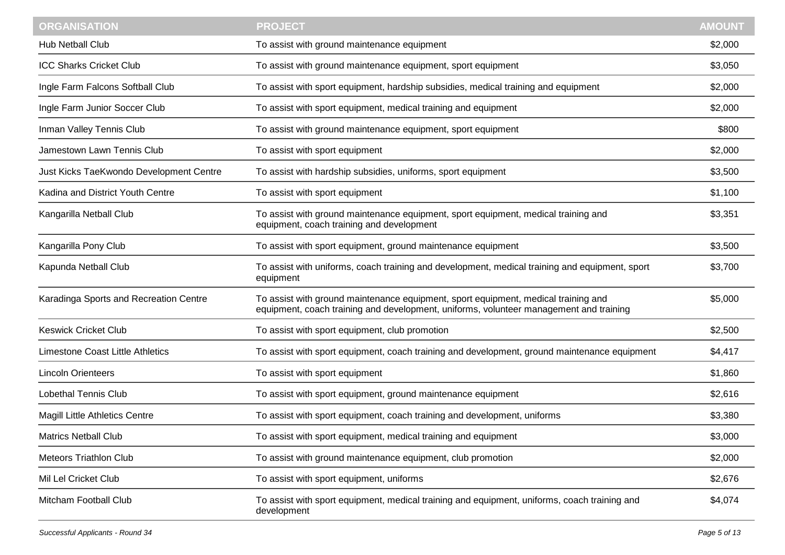| <b>ORGANISATION</b>                     | <b>PROJECT</b>                                                                                                                                                               | <b>AMOUNT</b> |
|-----------------------------------------|------------------------------------------------------------------------------------------------------------------------------------------------------------------------------|---------------|
| Hub Netball Club                        | To assist with ground maintenance equipment                                                                                                                                  | \$2,000       |
| <b>ICC Sharks Cricket Club</b>          | To assist with ground maintenance equipment, sport equipment                                                                                                                 | \$3,050       |
| Ingle Farm Falcons Softball Club        | To assist with sport equipment, hardship subsidies, medical training and equipment                                                                                           | \$2,000       |
| Ingle Farm Junior Soccer Club           | To assist with sport equipment, medical training and equipment                                                                                                               | \$2,000       |
| Inman Valley Tennis Club                | To assist with ground maintenance equipment, sport equipment                                                                                                                 | \$800         |
| Jamestown Lawn Tennis Club              | To assist with sport equipment                                                                                                                                               | \$2,000       |
| Just Kicks TaeKwondo Development Centre | To assist with hardship subsidies, uniforms, sport equipment                                                                                                                 | \$3,500       |
| Kadina and District Youth Centre        | To assist with sport equipment                                                                                                                                               | \$1,100       |
| Kangarilla Netball Club                 | To assist with ground maintenance equipment, sport equipment, medical training and<br>equipment, coach training and development                                              | \$3,351       |
| Kangarilla Pony Club                    | To assist with sport equipment, ground maintenance equipment                                                                                                                 | \$3,500       |
| Kapunda Netball Club                    | To assist with uniforms, coach training and development, medical training and equipment, sport<br>equipment                                                                  | \$3,700       |
| Karadinga Sports and Recreation Centre  | To assist with ground maintenance equipment, sport equipment, medical training and<br>equipment, coach training and development, uniforms, volunteer management and training | \$5,000       |
| <b>Keswick Cricket Club</b>             | To assist with sport equipment, club promotion                                                                                                                               | \$2,500       |
| Limestone Coast Little Athletics        | To assist with sport equipment, coach training and development, ground maintenance equipment                                                                                 | \$4,417       |
| <b>Lincoln Orienteers</b>               | To assist with sport equipment                                                                                                                                               | \$1,860       |
| <b>Lobethal Tennis Club</b>             | To assist with sport equipment, ground maintenance equipment                                                                                                                 | \$2,616       |
| <b>Magill Little Athletics Centre</b>   | To assist with sport equipment, coach training and development, uniforms                                                                                                     | \$3,380       |
| <b>Matrics Netball Club</b>             | To assist with sport equipment, medical training and equipment                                                                                                               | \$3,000       |
| <b>Meteors Triathlon Club</b>           | To assist with ground maintenance equipment, club promotion                                                                                                                  | \$2,000       |
| Mil Lel Cricket Club                    | To assist with sport equipment, uniforms                                                                                                                                     | \$2,676       |
| Mitcham Football Club                   | To assist with sport equipment, medical training and equipment, uniforms, coach training and<br>development                                                                  | \$4,074       |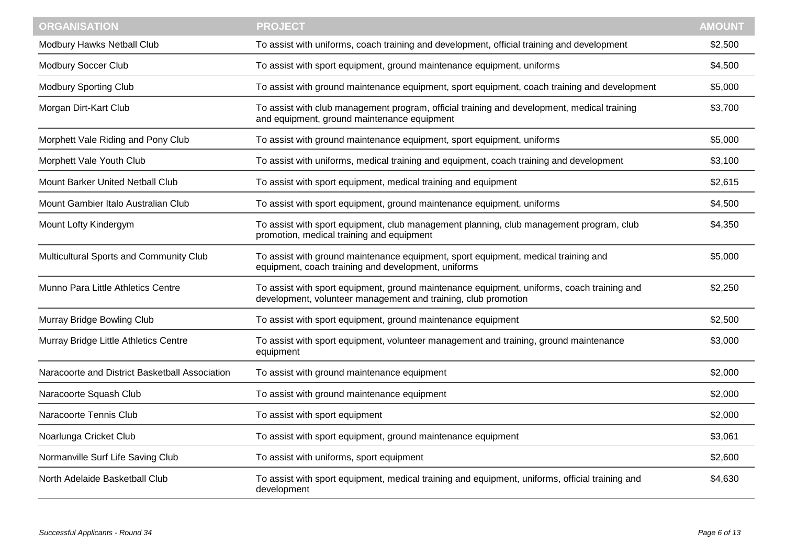| <b>ORGANISATION</b>                            | <b>PROJECT</b>                                                                                                                                               | <b>AMOUNT</b> |
|------------------------------------------------|--------------------------------------------------------------------------------------------------------------------------------------------------------------|---------------|
| Modbury Hawks Netball Club                     | To assist with uniforms, coach training and development, official training and development                                                                   | \$2,500       |
| Modbury Soccer Club                            | To assist with sport equipment, ground maintenance equipment, uniforms                                                                                       | \$4,500       |
| <b>Modbury Sporting Club</b>                   | To assist with ground maintenance equipment, sport equipment, coach training and development                                                                 | \$5,000       |
| Morgan Dirt-Kart Club                          | To assist with club management program, official training and development, medical training<br>and equipment, ground maintenance equipment                   | \$3,700       |
| Morphett Vale Riding and Pony Club             | To assist with ground maintenance equipment, sport equipment, uniforms                                                                                       | \$5,000       |
| Morphett Vale Youth Club                       | To assist with uniforms, medical training and equipment, coach training and development                                                                      | \$3,100       |
| Mount Barker United Netball Club               | To assist with sport equipment, medical training and equipment                                                                                               | \$2,615       |
| Mount Gambier Italo Australian Club            | To assist with sport equipment, ground maintenance equipment, uniforms                                                                                       | \$4,500       |
| Mount Lofty Kindergym                          | To assist with sport equipment, club management planning, club management program, club<br>promotion, medical training and equipment                         | \$4,350       |
| Multicultural Sports and Community Club        | To assist with ground maintenance equipment, sport equipment, medical training and<br>equipment, coach training and development, uniforms                    | \$5,000       |
| Munno Para Little Athletics Centre             | To assist with sport equipment, ground maintenance equipment, uniforms, coach training and<br>development, volunteer management and training, club promotion | \$2,250       |
| Murray Bridge Bowling Club                     | To assist with sport equipment, ground maintenance equipment                                                                                                 | \$2,500       |
| Murray Bridge Little Athletics Centre          | To assist with sport equipment, volunteer management and training, ground maintenance<br>equipment                                                           | \$3,000       |
| Naracoorte and District Basketball Association | To assist with ground maintenance equipment                                                                                                                  | \$2,000       |
| Naracoorte Squash Club                         | To assist with ground maintenance equipment                                                                                                                  | \$2,000       |
| Naracoorte Tennis Club                         | To assist with sport equipment                                                                                                                               | \$2,000       |
| Noarlunga Cricket Club                         | To assist with sport equipment, ground maintenance equipment                                                                                                 | \$3,061       |
| Normanville Surf Life Saving Club              | To assist with uniforms, sport equipment                                                                                                                     | \$2,600       |
| North Adelaide Basketball Club                 | To assist with sport equipment, medical training and equipment, uniforms, official training and<br>development                                               | \$4,630       |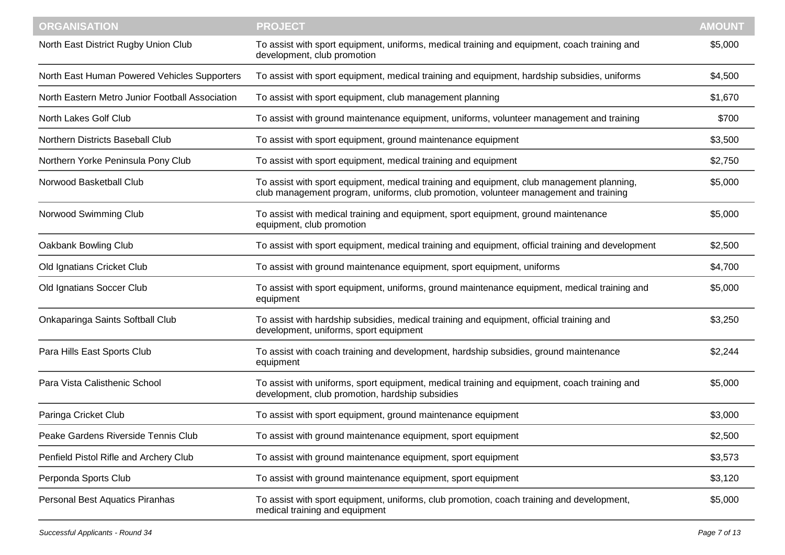| <b>ORGANISATION</b>                             | <b>PROJECT</b>                                                                                                                                                                    | <b>AMOUNT</b> |
|-------------------------------------------------|-----------------------------------------------------------------------------------------------------------------------------------------------------------------------------------|---------------|
| North East District Rugby Union Club            | To assist with sport equipment, uniforms, medical training and equipment, coach training and<br>development, club promotion                                                       | \$5,000       |
| North East Human Powered Vehicles Supporters    | To assist with sport equipment, medical training and equipment, hardship subsidies, uniforms                                                                                      | \$4,500       |
| North Eastern Metro Junior Football Association | To assist with sport equipment, club management planning                                                                                                                          | \$1,670       |
| North Lakes Golf Club                           | To assist with ground maintenance equipment, uniforms, volunteer management and training                                                                                          | \$700         |
| Northern Districts Baseball Club                | To assist with sport equipment, ground maintenance equipment                                                                                                                      | \$3,500       |
| Northern Yorke Peninsula Pony Club              | To assist with sport equipment, medical training and equipment                                                                                                                    | \$2,750       |
| Norwood Basketball Club                         | To assist with sport equipment, medical training and equipment, club management planning,<br>club management program, uniforms, club promotion, volunteer management and training | \$5,000       |
| Norwood Swimming Club                           | To assist with medical training and equipment, sport equipment, ground maintenance<br>equipment, club promotion                                                                   | \$5,000       |
| Oakbank Bowling Club                            | To assist with sport equipment, medical training and equipment, official training and development                                                                                 | \$2,500       |
| Old Ignatians Cricket Club                      | To assist with ground maintenance equipment, sport equipment, uniforms                                                                                                            | \$4,700       |
| Old Ignatians Soccer Club                       | To assist with sport equipment, uniforms, ground maintenance equipment, medical training and<br>equipment                                                                         | \$5,000       |
| Onkaparinga Saints Softball Club                | To assist with hardship subsidies, medical training and equipment, official training and<br>development, uniforms, sport equipment                                                | \$3,250       |
| Para Hills East Sports Club                     | To assist with coach training and development, hardship subsidies, ground maintenance<br>equipment                                                                                | \$2,244       |
| Para Vista Calisthenic School                   | To assist with uniforms, sport equipment, medical training and equipment, coach training and<br>development, club promotion, hardship subsidies                                   | \$5,000       |
| Paringa Cricket Club                            | To assist with sport equipment, ground maintenance equipment                                                                                                                      | \$3,000       |
| Peake Gardens Riverside Tennis Club             | To assist with ground maintenance equipment, sport equipment                                                                                                                      | \$2,500       |
| Penfield Pistol Rifle and Archery Club          | To assist with ground maintenance equipment, sport equipment                                                                                                                      | \$3,573       |
| Perponda Sports Club                            | To assist with ground maintenance equipment, sport equipment                                                                                                                      | \$3,120       |
| Personal Best Aquatics Piranhas                 | To assist with sport equipment, uniforms, club promotion, coach training and development,<br>medical training and equipment                                                       | \$5,000       |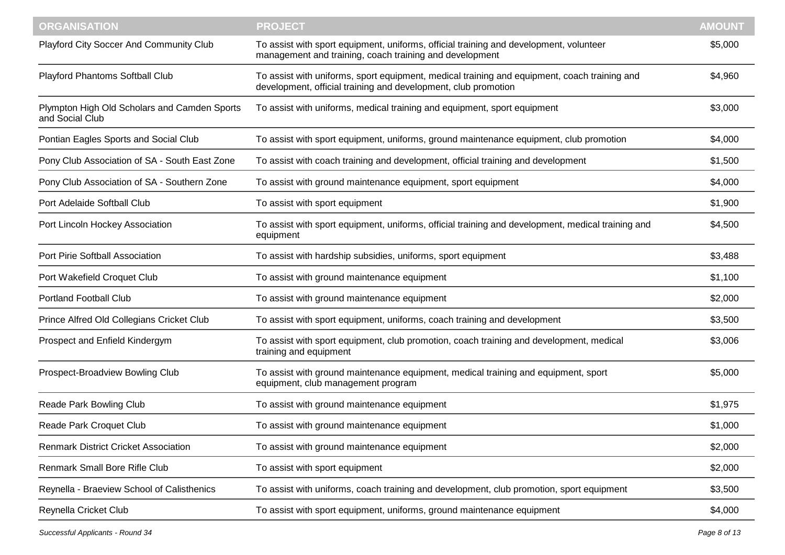| <b>ORGANISATION</b>                                             | <b>PROJECT</b>                                                                                                                                                 | <b>AMOUNT</b> |
|-----------------------------------------------------------------|----------------------------------------------------------------------------------------------------------------------------------------------------------------|---------------|
| Playford City Soccer And Community Club                         | To assist with sport equipment, uniforms, official training and development, volunteer<br>management and training, coach training and development              | \$5,000       |
| Playford Phantoms Softball Club                                 | To assist with uniforms, sport equipment, medical training and equipment, coach training and<br>development, official training and development, club promotion | \$4,960       |
| Plympton High Old Scholars and Camden Sports<br>and Social Club | To assist with uniforms, medical training and equipment, sport equipment                                                                                       | \$3,000       |
| Pontian Eagles Sports and Social Club                           | To assist with sport equipment, uniforms, ground maintenance equipment, club promotion                                                                         | \$4,000       |
| Pony Club Association of SA - South East Zone                   | To assist with coach training and development, official training and development                                                                               | \$1,500       |
| Pony Club Association of SA - Southern Zone                     | To assist with ground maintenance equipment, sport equipment                                                                                                   | \$4,000       |
| Port Adelaide Softball Club                                     | To assist with sport equipment                                                                                                                                 | \$1,900       |
| Port Lincoln Hockey Association                                 | To assist with sport equipment, uniforms, official training and development, medical training and<br>equipment                                                 | \$4,500       |
| Port Pirie Softball Association                                 | To assist with hardship subsidies, uniforms, sport equipment                                                                                                   | \$3,488       |
| Port Wakefield Croquet Club                                     | To assist with ground maintenance equipment                                                                                                                    | \$1,100       |
| <b>Portland Football Club</b>                                   | To assist with ground maintenance equipment                                                                                                                    | \$2,000       |
| Prince Alfred Old Collegians Cricket Club                       | To assist with sport equipment, uniforms, coach training and development                                                                                       | \$3,500       |
| Prospect and Enfield Kindergym                                  | To assist with sport equipment, club promotion, coach training and development, medical<br>training and equipment                                              | \$3,006       |
| Prospect-Broadview Bowling Club                                 | To assist with ground maintenance equipment, medical training and equipment, sport<br>equipment, club management program                                       | \$5,000       |
| Reade Park Bowling Club                                         | To assist with ground maintenance equipment                                                                                                                    | \$1,975       |
| Reade Park Croquet Club                                         | To assist with ground maintenance equipment                                                                                                                    | \$1,000       |
| <b>Renmark District Cricket Association</b>                     | To assist with ground maintenance equipment                                                                                                                    | \$2,000       |
| Renmark Small Bore Rifle Club                                   | To assist with sport equipment                                                                                                                                 | \$2,000       |
| Reynella - Braeview School of Calisthenics                      | To assist with uniforms, coach training and development, club promotion, sport equipment                                                                       | \$3,500       |
| Reynella Cricket Club                                           | To assist with sport equipment, uniforms, ground maintenance equipment                                                                                         | \$4,000       |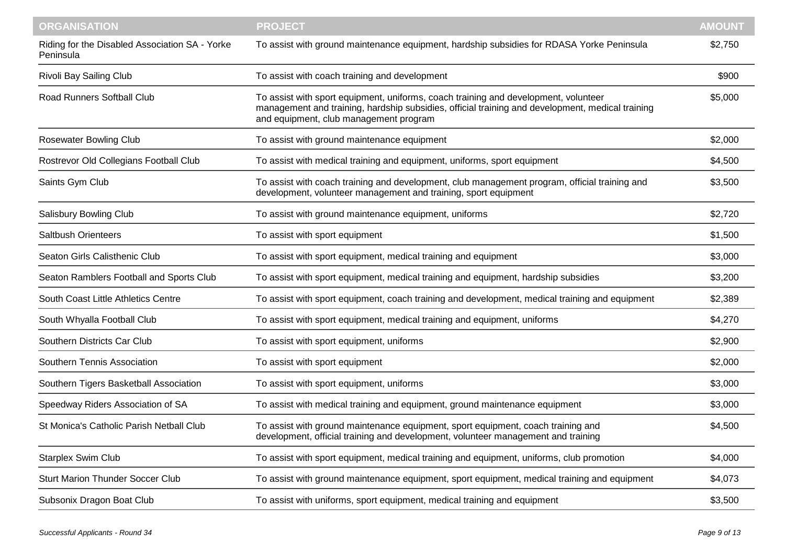| <b>ORGANISATION</b>                                         | <b>PROJECT</b>                                                                                                                                                                                                                    | <b>AMOUNT</b> |
|-------------------------------------------------------------|-----------------------------------------------------------------------------------------------------------------------------------------------------------------------------------------------------------------------------------|---------------|
| Riding for the Disabled Association SA - Yorke<br>Peninsula | To assist with ground maintenance equipment, hardship subsidies for RDASA Yorke Peninsula                                                                                                                                         | \$2,750       |
| Rivoli Bay Sailing Club                                     | To assist with coach training and development                                                                                                                                                                                     | \$900         |
| Road Runners Softball Club                                  | To assist with sport equipment, uniforms, coach training and development, volunteer<br>management and training, hardship subsidies, official training and development, medical training<br>and equipment, club management program | \$5,000       |
| <b>Rosewater Bowling Club</b>                               | To assist with ground maintenance equipment                                                                                                                                                                                       | \$2,000       |
| Rostrevor Old Collegians Football Club                      | To assist with medical training and equipment, uniforms, sport equipment                                                                                                                                                          | \$4,500       |
| Saints Gym Club                                             | To assist with coach training and development, club management program, official training and<br>development, volunteer management and training, sport equipment                                                                  | \$3,500       |
| Salisbury Bowling Club                                      | To assist with ground maintenance equipment, uniforms                                                                                                                                                                             | \$2,720       |
| Saltbush Orienteers                                         | To assist with sport equipment                                                                                                                                                                                                    | \$1,500       |
| Seaton Girls Calisthenic Club                               | To assist with sport equipment, medical training and equipment                                                                                                                                                                    | \$3,000       |
| Seaton Ramblers Football and Sports Club                    | To assist with sport equipment, medical training and equipment, hardship subsidies                                                                                                                                                | \$3,200       |
| South Coast Little Athletics Centre                         | To assist with sport equipment, coach training and development, medical training and equipment                                                                                                                                    | \$2,389       |
| South Whyalla Football Club                                 | To assist with sport equipment, medical training and equipment, uniforms                                                                                                                                                          | \$4,270       |
| Southern Districts Car Club                                 | To assist with sport equipment, uniforms                                                                                                                                                                                          | \$2,900       |
| Southern Tennis Association                                 | To assist with sport equipment                                                                                                                                                                                                    | \$2,000       |
| Southern Tigers Basketball Association                      | To assist with sport equipment, uniforms                                                                                                                                                                                          | \$3,000       |
| Speedway Riders Association of SA                           | To assist with medical training and equipment, ground maintenance equipment                                                                                                                                                       | \$3,000       |
| St Monica's Catholic Parish Netball Club                    | To assist with ground maintenance equipment, sport equipment, coach training and<br>development, official training and development, volunteer management and training                                                             | \$4,500       |
| <b>Starplex Swim Club</b>                                   | To assist with sport equipment, medical training and equipment, uniforms, club promotion                                                                                                                                          | \$4,000       |
| <b>Sturt Marion Thunder Soccer Club</b>                     | To assist with ground maintenance equipment, sport equipment, medical training and equipment                                                                                                                                      | \$4,073       |
| Subsonix Dragon Boat Club                                   | To assist with uniforms, sport equipment, medical training and equipment                                                                                                                                                          | \$3,500       |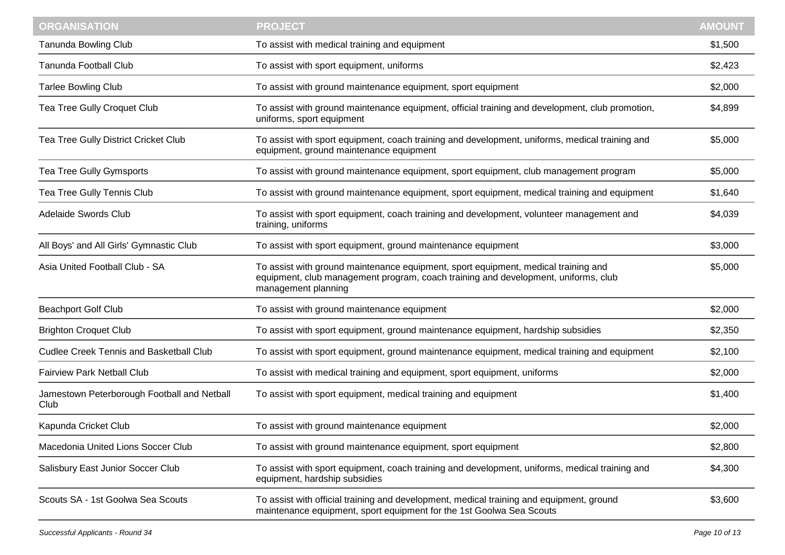| <b>ORGANISATION</b>                                 | <b>PROJECT</b>                                                                                                                                                                                  | <b>AMOUNT</b> |
|-----------------------------------------------------|-------------------------------------------------------------------------------------------------------------------------------------------------------------------------------------------------|---------------|
| <b>Tanunda Bowling Club</b>                         | To assist with medical training and equipment                                                                                                                                                   | \$1,500       |
| <b>Tanunda Football Club</b>                        | To assist with sport equipment, uniforms                                                                                                                                                        | \$2,423       |
| <b>Tarlee Bowling Club</b>                          | To assist with ground maintenance equipment, sport equipment                                                                                                                                    | \$2,000       |
| Tea Tree Gully Croquet Club                         | To assist with ground maintenance equipment, official training and development, club promotion,<br>uniforms, sport equipment                                                                    | \$4,899       |
| Tea Tree Gully District Cricket Club                | To assist with sport equipment, coach training and development, uniforms, medical training and<br>equipment, ground maintenance equipment                                                       | \$5,000       |
| Tea Tree Gully Gymsports                            | To assist with ground maintenance equipment, sport equipment, club management program                                                                                                           | \$5,000       |
| Tea Tree Gully Tennis Club                          | To assist with ground maintenance equipment, sport equipment, medical training and equipment                                                                                                    | \$1,640       |
| Adelaide Swords Club                                | To assist with sport equipment, coach training and development, volunteer management and<br>training, uniforms                                                                                  | \$4,039       |
| All Boys' and All Girls' Gymnastic Club             | To assist with sport equipment, ground maintenance equipment                                                                                                                                    | \$3,000       |
| Asia United Football Club - SA                      | To assist with ground maintenance equipment, sport equipment, medical training and<br>equipment, club management program, coach training and development, uniforms, club<br>management planning | \$5,000       |
| <b>Beachport Golf Club</b>                          | To assist with ground maintenance equipment                                                                                                                                                     | \$2,000       |
| <b>Brighton Croquet Club</b>                        | To assist with sport equipment, ground maintenance equipment, hardship subsidies                                                                                                                | \$2,350       |
| <b>Cudlee Creek Tennis and Basketball Club</b>      | To assist with sport equipment, ground maintenance equipment, medical training and equipment                                                                                                    | \$2,100       |
| <b>Fairview Park Netball Club</b>                   | To assist with medical training and equipment, sport equipment, uniforms                                                                                                                        | \$2,000       |
| Jamestown Peterborough Football and Netball<br>Club | To assist with sport equipment, medical training and equipment                                                                                                                                  | \$1,400       |
| Kapunda Cricket Club                                | To assist with ground maintenance equipment                                                                                                                                                     | \$2,000       |
| Macedonia United Lions Soccer Club                  | To assist with ground maintenance equipment, sport equipment                                                                                                                                    | \$2,800       |
| Salisbury East Junior Soccer Club                   | To assist with sport equipment, coach training and development, uniforms, medical training and<br>equipment, hardship subsidies                                                                 | \$4,300       |
| Scouts SA - 1st Goolwa Sea Scouts                   | To assist with official training and development, medical training and equipment, ground<br>maintenance equipment, sport equipment for the 1st Goolwa Sea Scouts                                | \$3,600       |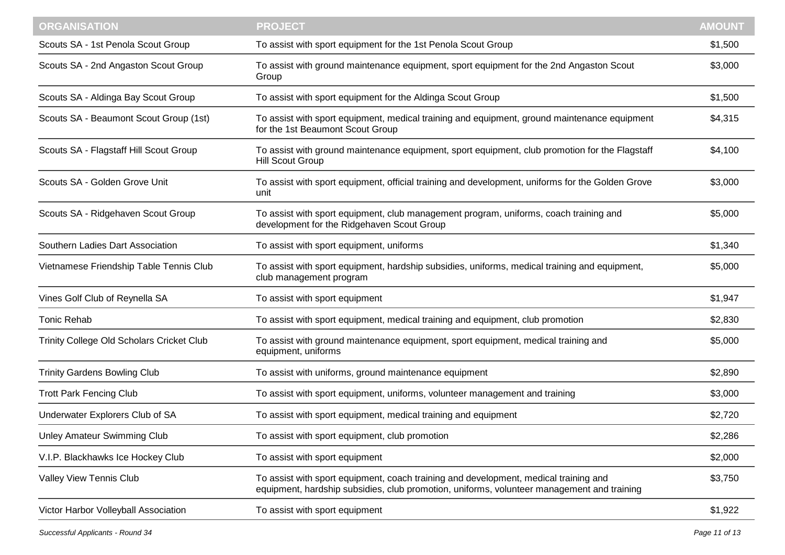| <b>ORGANISATION</b>                              | <b>PROJECT</b>                                                                                                                                                                     | <b>AMOUNT</b> |
|--------------------------------------------------|------------------------------------------------------------------------------------------------------------------------------------------------------------------------------------|---------------|
| Scouts SA - 1st Penola Scout Group               | To assist with sport equipment for the 1st Penola Scout Group                                                                                                                      | \$1,500       |
| Scouts SA - 2nd Angaston Scout Group             | To assist with ground maintenance equipment, sport equipment for the 2nd Angaston Scout<br>Group                                                                                   | \$3,000       |
| Scouts SA - Aldinga Bay Scout Group              | To assist with sport equipment for the Aldinga Scout Group                                                                                                                         | \$1,500       |
| Scouts SA - Beaumont Scout Group (1st)           | To assist with sport equipment, medical training and equipment, ground maintenance equipment<br>for the 1st Beaumont Scout Group                                                   | \$4,315       |
| Scouts SA - Flagstaff Hill Scout Group           | To assist with ground maintenance equipment, sport equipment, club promotion for the Flagstaff<br><b>Hill Scout Group</b>                                                          | \$4,100       |
| Scouts SA - Golden Grove Unit                    | To assist with sport equipment, official training and development, uniforms for the Golden Grove<br>unit                                                                           | \$3,000       |
| Scouts SA - Ridgehaven Scout Group               | To assist with sport equipment, club management program, uniforms, coach training and<br>development for the Ridgehaven Scout Group                                                | \$5,000       |
| Southern Ladies Dart Association                 | To assist with sport equipment, uniforms                                                                                                                                           | \$1,340       |
| Vietnamese Friendship Table Tennis Club          | To assist with sport equipment, hardship subsidies, uniforms, medical training and equipment,<br>club management program                                                           | \$5,000       |
| Vines Golf Club of Reynella SA                   | To assist with sport equipment                                                                                                                                                     | \$1,947       |
| <b>Tonic Rehab</b>                               | To assist with sport equipment, medical training and equipment, club promotion                                                                                                     | \$2,830       |
| <b>Trinity College Old Scholars Cricket Club</b> | To assist with ground maintenance equipment, sport equipment, medical training and<br>equipment, uniforms                                                                          | \$5,000       |
| <b>Trinity Gardens Bowling Club</b>              | To assist with uniforms, ground maintenance equipment                                                                                                                              | \$2,890       |
| <b>Trott Park Fencing Club</b>                   | To assist with sport equipment, uniforms, volunteer management and training                                                                                                        | \$3,000       |
| Underwater Explorers Club of SA                  | To assist with sport equipment, medical training and equipment                                                                                                                     | \$2,720       |
| Unley Amateur Swimming Club                      | To assist with sport equipment, club promotion                                                                                                                                     | \$2,286       |
| V.I.P. Blackhawks Ice Hockey Club                | To assist with sport equipment                                                                                                                                                     | \$2,000       |
| Valley View Tennis Club                          | To assist with sport equipment, coach training and development, medical training and<br>equipment, hardship subsidies, club promotion, uniforms, volunteer management and training | \$3,750       |
| Victor Harbor Volleyball Association             | To assist with sport equipment                                                                                                                                                     | \$1,922       |
|                                                  |                                                                                                                                                                                    |               |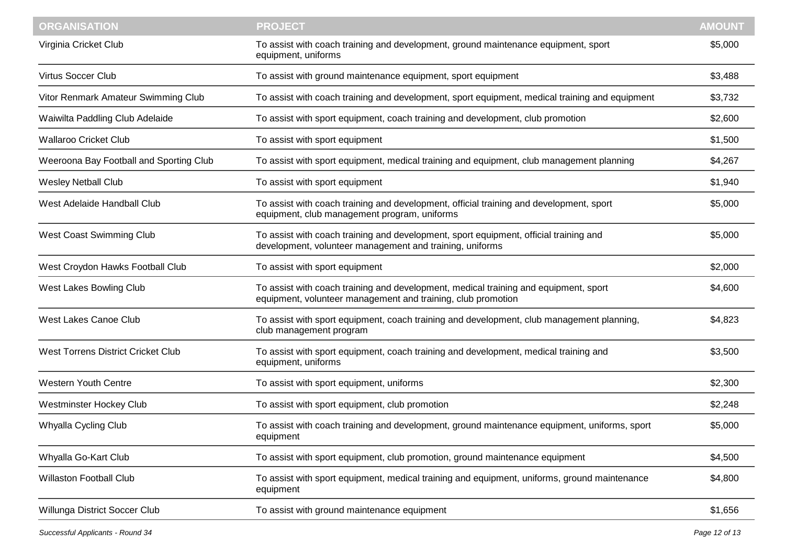| <b>ORGANISATION</b>                     | <b>PROJECT</b>                                                                                                                                       | <b>AMOUNT</b> |
|-----------------------------------------|------------------------------------------------------------------------------------------------------------------------------------------------------|---------------|
| Virginia Cricket Club                   | To assist with coach training and development, ground maintenance equipment, sport<br>equipment, uniforms                                            | \$5,000       |
| <b>Virtus Soccer Club</b>               | To assist with ground maintenance equipment, sport equipment                                                                                         | \$3,488       |
| Vitor Renmark Amateur Swimming Club     | To assist with coach training and development, sport equipment, medical training and equipment                                                       | \$3,732       |
| Waiwilta Paddling Club Adelaide         | To assist with sport equipment, coach training and development, club promotion                                                                       | \$2,600       |
| <b>Wallaroo Cricket Club</b>            | To assist with sport equipment                                                                                                                       | \$1,500       |
| Weeroona Bay Football and Sporting Club | To assist with sport equipment, medical training and equipment, club management planning                                                             | \$4,267       |
| <b>Wesley Netball Club</b>              | To assist with sport equipment                                                                                                                       | \$1,940       |
| West Adelaide Handball Club             | To assist with coach training and development, official training and development, sport<br>equipment, club management program, uniforms              | \$5,000       |
| <b>West Coast Swimming Club</b>         | To assist with coach training and development, sport equipment, official training and<br>development, volunteer management and training, uniforms    | \$5,000       |
| West Croydon Hawks Football Club        | To assist with sport equipment                                                                                                                       | \$2,000       |
| West Lakes Bowling Club                 | To assist with coach training and development, medical training and equipment, sport<br>equipment, volunteer management and training, club promotion | \$4,600       |
| <b>West Lakes Canoe Club</b>            | To assist with sport equipment, coach training and development, club management planning,<br>club management program                                 | \$4,823       |
| West Torrens District Cricket Club      | To assist with sport equipment, coach training and development, medical training and<br>equipment, uniforms                                          | \$3,500       |
| <b>Western Youth Centre</b>             | To assist with sport equipment, uniforms                                                                                                             | \$2,300       |
| Westminster Hockey Club                 | To assist with sport equipment, club promotion                                                                                                       | \$2,248       |
| Whyalla Cycling Club                    | To assist with coach training and development, ground maintenance equipment, uniforms, sport<br>equipment                                            | \$5,000       |
| Whyalla Go-Kart Club                    | To assist with sport equipment, club promotion, ground maintenance equipment                                                                         | \$4,500       |
| <b>Willaston Football Club</b>          | To assist with sport equipment, medical training and equipment, uniforms, ground maintenance<br>equipment                                            | \$4,800       |
| Willunga District Soccer Club           | To assist with ground maintenance equipment                                                                                                          | \$1,656       |